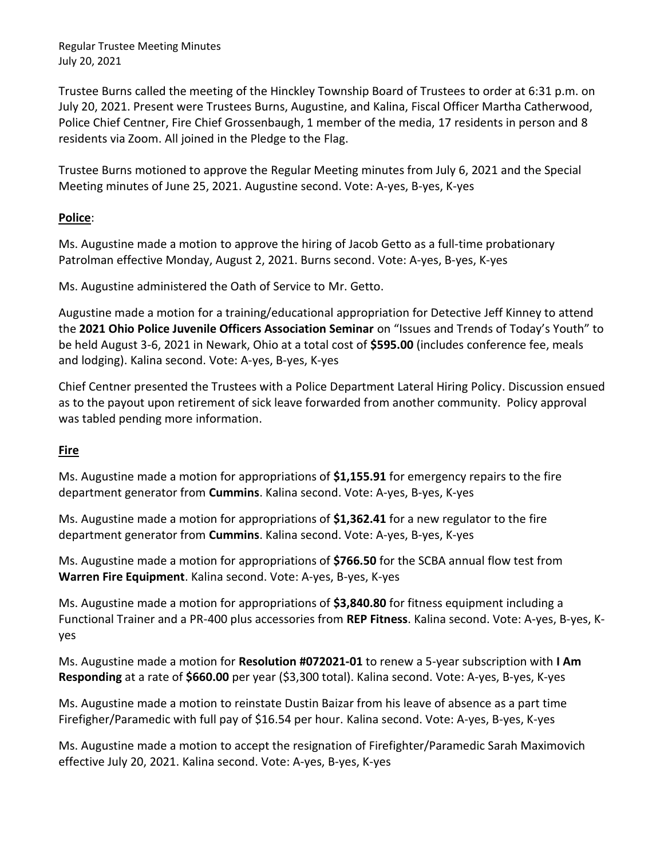Trustee Burns called the meeting of the Hinckley Township Board of Trustees to order at 6:31 p.m. on July 20, 2021. Present were Trustees Burns, Augustine, and Kalina, Fiscal Officer Martha Catherwood, Police Chief Centner, Fire Chief Grossenbaugh, 1 member of the media, 17 residents in person and 8 residents via Zoom. All joined in the Pledge to the Flag.

Trustee Burns motioned to approve the Regular Meeting minutes from July 6, 2021 and the Special Meeting minutes of June 25, 2021. Augustine second. Vote: A-yes, B-yes, K-yes

# **Police**:

Ms. Augustine made a motion to approve the hiring of Jacob Getto as a full-time probationary Patrolman effective Monday, August 2, 2021. Burns second. Vote: A-yes, B-yes, K-yes

Ms. Augustine administered the Oath of Service to Mr. Getto.

Augustine made a motion for a training/educational appropriation for Detective Jeff Kinney to attend the **2021 Ohio Police Juvenile Officers Association Seminar** on "Issues and Trends of Today's Youth" to be held August 3-6, 2021 in Newark, Ohio at a total cost of **\$595.00** (includes conference fee, meals and lodging). Kalina second. Vote: A-yes, B-yes, K-yes

Chief Centner presented the Trustees with a Police Department Lateral Hiring Policy. Discussion ensued as to the payout upon retirement of sick leave forwarded from another community. Policy approval was tabled pending more information.

# **Fire**

Ms. Augustine made a motion for appropriations of **\$1,155.91** for emergency repairs to the fire department generator from **Cummins**. Kalina second. Vote: A-yes, B-yes, K-yes

Ms. Augustine made a motion for appropriations of **\$1,362.41** for a new regulator to the fire department generator from **Cummins**. Kalina second. Vote: A-yes, B-yes, K-yes

Ms. Augustine made a motion for appropriations of **\$766.50** for the SCBA annual flow test from **Warren Fire Equipment**. Kalina second. Vote: A-yes, B-yes, K-yes

Ms. Augustine made a motion for appropriations of **\$3,840.80** for fitness equipment including a Functional Trainer and a PR-400 plus accessories from **REP Fitness**. Kalina second. Vote: A-yes, B-yes, Kyes

Ms. Augustine made a motion for **Resolution #072021-01** to renew a 5-year subscription with **I Am Responding** at a rate of **\$660.00** per year (\$3,300 total). Kalina second. Vote: A-yes, B-yes, K-yes

Ms. Augustine made a motion to reinstate Dustin Baizar from his leave of absence as a part time Firefigher/Paramedic with full pay of \$16.54 per hour. Kalina second. Vote: A-yes, B-yes, K-yes

Ms. Augustine made a motion to accept the resignation of Firefighter/Paramedic Sarah Maximovich effective July 20, 2021. Kalina second. Vote: A-yes, B-yes, K-yes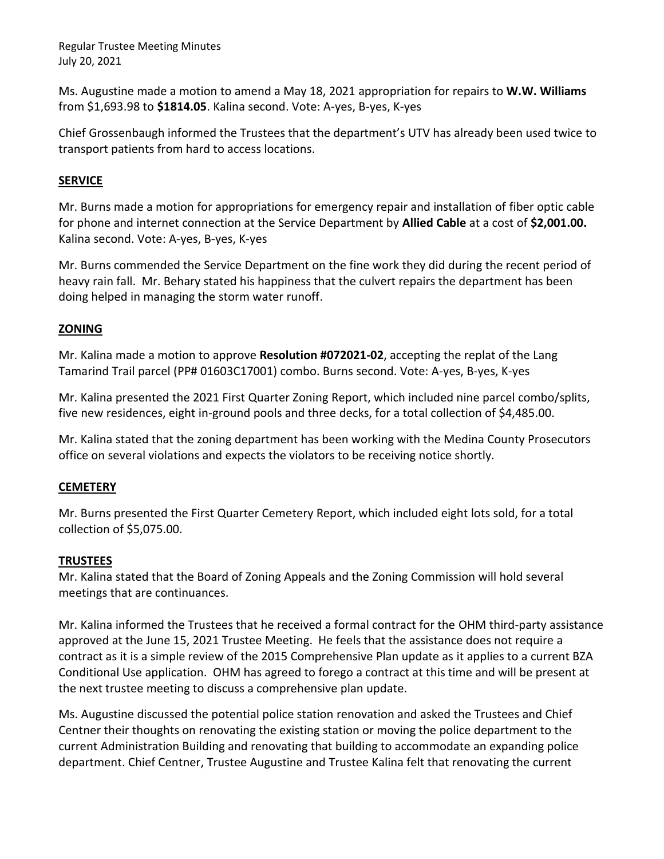Ms. Augustine made a motion to amend a May 18, 2021 appropriation for repairs to **W.W. Williams** from \$1,693.98 to **\$1814.05**. Kalina second. Vote: A-yes, B-yes, K-yes

Chief Grossenbaugh informed the Trustees that the department's UTV has already been used twice to transport patients from hard to access locations.

## **SERVICE**

Mr. Burns made a motion for appropriations for emergency repair and installation of fiber optic cable for phone and internet connection at the Service Department by **Allied Cable** at a cost of **\$2,001.00.**  Kalina second. Vote: A-yes, B-yes, K-yes

Mr. Burns commended the Service Department on the fine work they did during the recent period of heavy rain fall. Mr. Behary stated his happiness that the culvert repairs the department has been doing helped in managing the storm water runoff.

## **ZONING**

Mr. Kalina made a motion to approve **Resolution #072021-02**, accepting the replat of the Lang Tamarind Trail parcel (PP# 01603C17001) combo. Burns second. Vote: A-yes, B-yes, K-yes

Mr. Kalina presented the 2021 First Quarter Zoning Report, which included nine parcel combo/splits, five new residences, eight in-ground pools and three decks, for a total collection of \$4,485.00.

Mr. Kalina stated that the zoning department has been working with the Medina County Prosecutors office on several violations and expects the violators to be receiving notice shortly.

## **CEMETERY**

Mr. Burns presented the First Quarter Cemetery Report, which included eight lots sold, for a total collection of \$5,075.00.

## **TRUSTEES**

Mr. Kalina stated that the Board of Zoning Appeals and the Zoning Commission will hold several meetings that are continuances.

Mr. Kalina informed the Trustees that he received a formal contract for the OHM third-party assistance approved at the June 15, 2021 Trustee Meeting. He feels that the assistance does not require a contract as it is a simple review of the 2015 Comprehensive Plan update as it applies to a current BZA Conditional Use application. OHM has agreed to forego a contract at this time and will be present at the next trustee meeting to discuss a comprehensive plan update.

Ms. Augustine discussed the potential police station renovation and asked the Trustees and Chief Centner their thoughts on renovating the existing station or moving the police department to the current Administration Building and renovating that building to accommodate an expanding police department. Chief Centner, Trustee Augustine and Trustee Kalina felt that renovating the current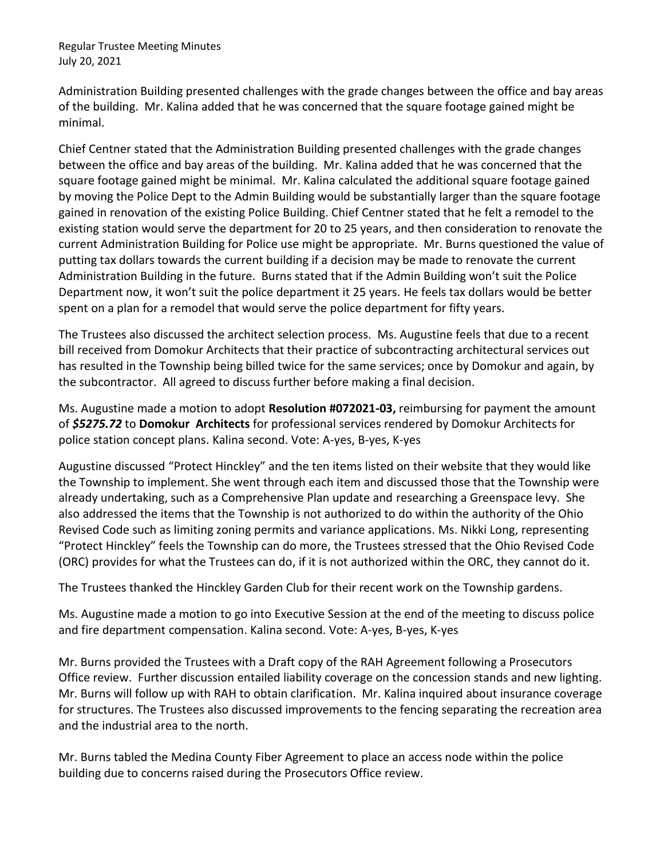Administration Building presented challenges with the grade changes between the office and bay areas of the building. Mr. Kalina added that he was concerned that the square footage gained might be minimal.

Chief Centner stated that the Administration Building presented challenges with the grade changes between the office and bay areas of the building. Mr. Kalina added that he was concerned that the square footage gained might be minimal. Mr. Kalina calculated the additional square footage gained by moving the Police Dept to the Admin Building would be substantially larger than the square footage gained in renovation of the existing Police Building. Chief Centner stated that he felt a remodel to the existing station would serve the department for 20 to 25 years, and then consideration to renovate the current Administration Building for Police use might be appropriate. Mr. Burns questioned the value of putting tax dollars towards the current building if a decision may be made to renovate the current Administration Building in the future. Burns stated that if the Admin Building won't suit the Police Department now, it won't suit the police department it 25 years. He feels tax dollars would be better spent on a plan for a remodel that would serve the police department for fifty years.

The Trustees also discussed the architect selection process. Ms. Augustine feels that due to a recent bill received from Domokur Architects that their practice of subcontracting architectural services out has resulted in the Township being billed twice for the same services; once by Domokur and again, by the subcontractor. All agreed to discuss further before making a final decision.

Ms. Augustine made a motion to adopt **Resolution #072021-03,** reimbursing for payment the amount of *\$5275.72* to **Domokur Architects** for professional services rendered by Domokur Architects for police station concept plans. Kalina second. Vote: A-yes, B-yes, K-yes

Augustine discussed "Protect Hinckley" and the ten items listed on their website that they would like the Township to implement. She went through each item and discussed those that the Township were already undertaking, such as a Comprehensive Plan update and researching a Greenspace levy. She also addressed the items that the Township is not authorized to do within the authority of the Ohio Revised Code such as limiting zoning permits and variance applications. Ms. Nikki Long, representing "Protect Hinckley" feels the Township can do more, the Trustees stressed that the Ohio Revised Code (ORC) provides for what the Trustees can do, if it is not authorized within the ORC, they cannot do it.

The Trustees thanked the Hinckley Garden Club for their recent work on the Township gardens.

Ms. Augustine made a motion to go into Executive Session at the end of the meeting to discuss police and fire department compensation. Kalina second. Vote: A-yes, B-yes, K-yes

Mr. Burns provided the Trustees with a Draft copy of the RAH Agreement following a Prosecutors Office review. Further discussion entailed liability coverage on the concession stands and new lighting. Mr. Burns will follow up with RAH to obtain clarification. Mr. Kalina inquired about insurance coverage for structures. The Trustees also discussed improvements to the fencing separating the recreation area and the industrial area to the north.

Mr. Burns tabled the Medina County Fiber Agreement to place an access node within the police building due to concerns raised during the Prosecutors Office review.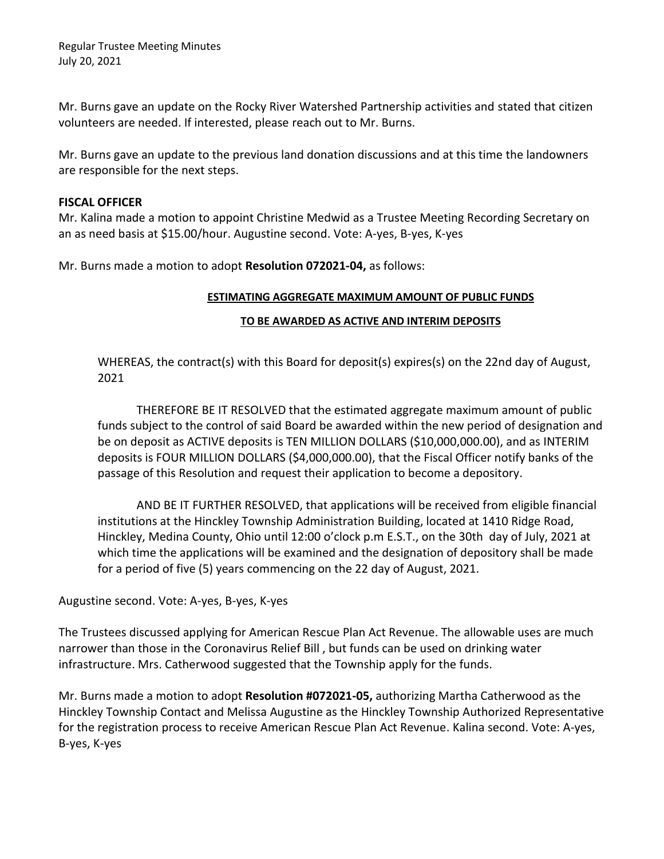Mr. Burns gave an update on the Rocky River Watershed Partnership activities and stated that citizen volunteers are needed. If interested, please reach out to Mr. Burns.

Mr. Burns gave an update to the previous land donation discussions and at this time the landowners are responsible for the next steps.

#### **FISCAL OFFICER**

Mr. Kalina made a motion to appoint Christine Medwid as a Trustee Meeting Recording Secretary on an as need basis at \$15.00/hour. Augustine second. Vote: A-yes, B-yes, K-yes

Mr. Burns made a motion to adopt **Resolution 072021-04,** as follows:

#### **ESTIMATING AGGREGATE MAXIMUM AMOUNT OF PUBLIC FUNDS**

#### **TO BE AWARDED AS ACTIVE AND INTERIM DEPOSITS**

WHEREAS, the contract(s) with this Board for deposit(s) expires(s) on the 22nd day of August, 2021

THEREFORE BE IT RESOLVED that the estimated aggregate maximum amount of public funds subject to the control of said Board be awarded within the new period of designation and be on deposit as ACTIVE deposits is TEN MILLION DOLLARS (\$10,000,000.00), and as INTERIM deposits is FOUR MILLION DOLLARS (\$4,000,000.00), that the Fiscal Officer notify banks of the passage of this Resolution and request their application to become a depository.

AND BE IT FURTHER RESOLVED, that applications will be received from eligible financial institutions at the Hinckley Township Administration Building, located at 1410 Ridge Road, Hinckley, Medina County, Ohio until 12:00 o'clock p.m E.S.T., on the 30th day of July, 2021 at which time the applications will be examined and the designation of depository shall be made for a period of five (5) years commencing on the 22 day of August, 2021.

## Augustine second. Vote: A-yes, B-yes, K-yes

The Trustees discussed applying for American Rescue Plan Act Revenue. The allowable uses are much narrower than those in the Coronavirus Relief Bill , but funds can be used on drinking water infrastructure. Mrs. Catherwood suggested that the Township apply for the funds.

Mr. Burns made a motion to adopt **Resolution #072021-05,** authorizing Martha Catherwood as the Hinckley Township Contact and Melissa Augustine as the Hinckley Township Authorized Representative for the registration process to receive American Rescue Plan Act Revenue. Kalina second. Vote: A-yes, B-yes, K-yes